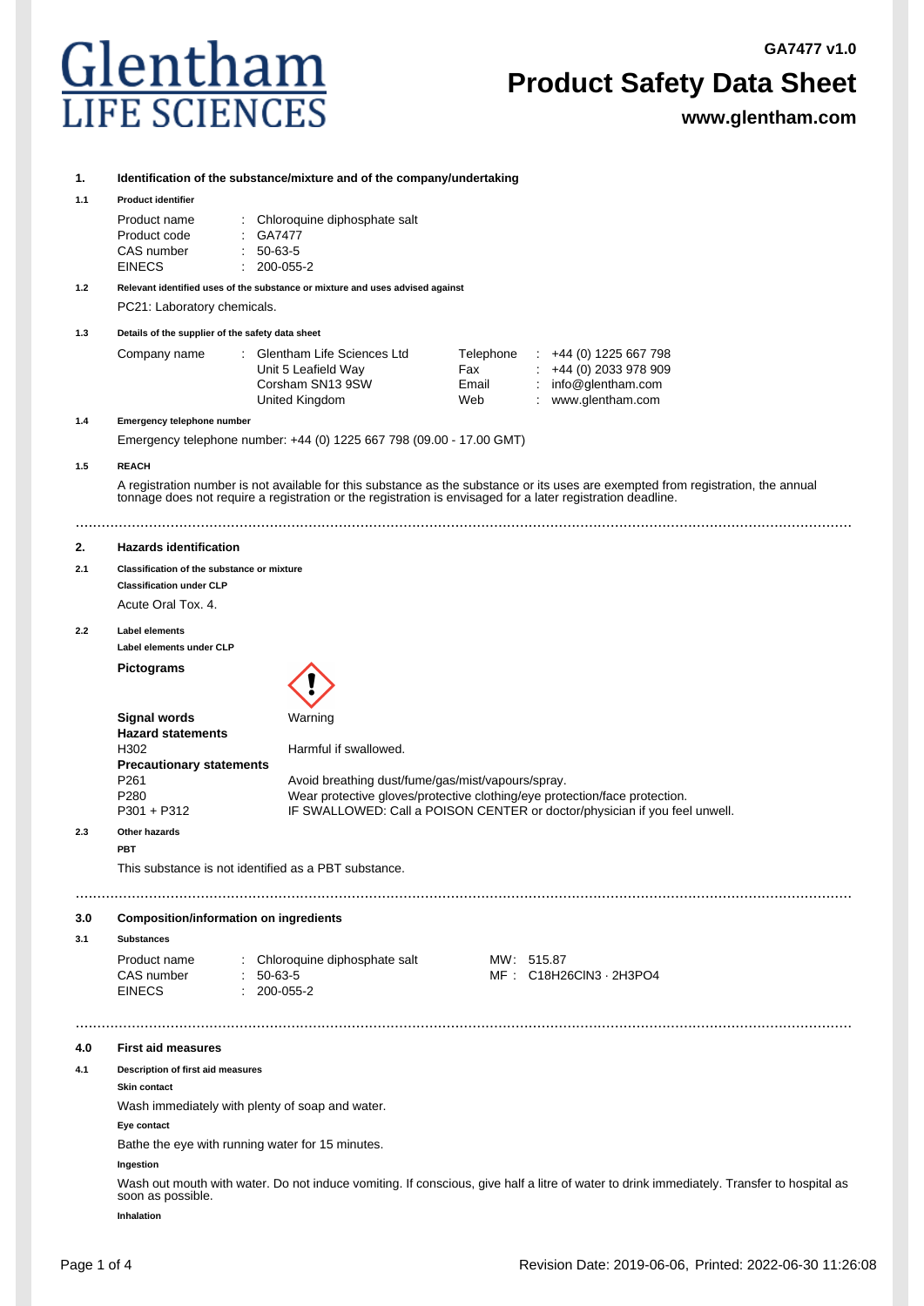**GA7477 v1.0**



# **Product Safety Data Sheet**

**www.glentham.com**

## **1. Identification of the substance/mixture and of the company/undertaking**

#### **1.1 Product identifier**

| Product name  | : Chloroquine diphosphate salt |
|---------------|--------------------------------|
| Product code  | : GA7477                       |
| CAS number    | $: 50-63-5$                    |
| <b>EINECS</b> | $: 200 - 055 - 2$              |

**1.2 Relevant identified uses of the substance or mixture and uses advised against** PC21: Laboratory chemicals.

**1.3 Details of the supplier of the safety data sheet**

| Company name | : Glentham Life Sciences Ltd | Telephone | $\div$ +44 (0) 1225 667 798 |
|--------------|------------------------------|-----------|-----------------------------|
|              | Unit 5 Leafield Way          | Fax       | $\div$ +44 (0) 2033 978 909 |
|              | Corsham SN13 9SW             | Email     | : $info@$ glentham.com      |
|              | United Kingdom               | Web       | www.glentham.com            |

**1.4 Emergency telephone number**

Emergency telephone number: +44 (0) 1225 667 798 (09.00 - 17.00 GMT)

### **1.5 REACH**

A registration number is not available for this substance as the substance or its uses are exempted from registration, the annual tonnage does not require a registration or the registration is envisaged for a later registration deadline.

....................................................................................................................................................................................

#### **2. Hazards identification**

#### **2.1 Classification of the substance or mixture**

**Classification under CLP**

Acute Oral Tox. 4.

#### **2.2 Label elements**

**Label elements under CLP**

**Pictograms**



| Signal words                    | Warning                                                                    |
|---------------------------------|----------------------------------------------------------------------------|
| <b>Hazard statements</b>        |                                                                            |
| H302                            | Harmful if swallowed.                                                      |
| <b>Precautionary statements</b> |                                                                            |
| P261                            | Avoid breathing dust/fume/gas/mist/vapours/spray.                          |
| P280                            | Wear protective gloves/protective clothing/eye protection/face protection. |
| P301 + P312                     | IF SWALLOWED: Call a POISON CENTER or doctor/physician if you feel unwell. |
|                                 |                                                                            |

....................................................................................................................................................................................

....................................................................................................................................................................................

## **2.3 Other hazards**

**PBT**

## This substance is not identified as a PBT substance.

#### **3.0 Composition/information on ingredients**

**3.1 Substances**

| Product name  |  | : Chloroquine diphosphate salt |  | MW: 515.87            |
|---------------|--|--------------------------------|--|-----------------------|
| CAS number    |  | $: 50-63-5$                    |  | MF: C18H26CIN3 2H3PO4 |
| <b>EINECS</b> |  | : 200-055-2                    |  |                       |

#### **4.0 First aid measures**

#### **4.1 Description of first aid measures**

#### **Skin contact**

Wash immediately with plenty of soap and water.

#### **Eye contact**

Bathe the eye with running water for 15 minutes.

#### **Ingestion**

Wash out mouth with water. Do not induce vomiting. If conscious, give half a litre of water to drink immediately. Transfer to hospital as soon as possible.

**Inhalation**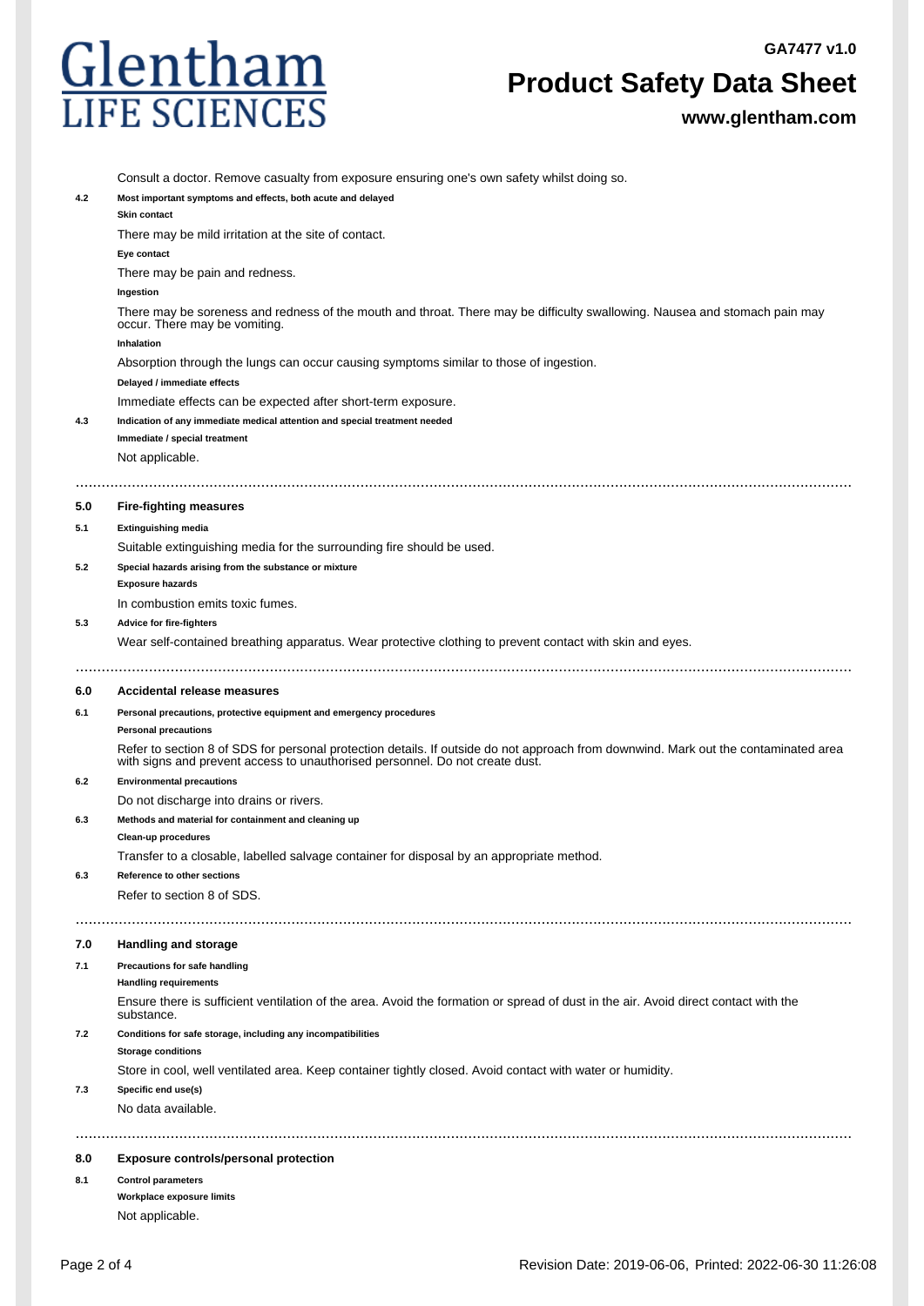**GA7477 v1.0**



# **Product Safety Data Sheet**

**www.glentham.com**

|     | Consult a doctor. Remove casualty from exposure ensuring one's own safety whilst doing so.                                                                                                                          |
|-----|---------------------------------------------------------------------------------------------------------------------------------------------------------------------------------------------------------------------|
| 4.2 | Most important symptoms and effects, both acute and delayed<br><b>Skin contact</b>                                                                                                                                  |
|     | There may be mild irritation at the site of contact.                                                                                                                                                                |
|     | Eye contact                                                                                                                                                                                                         |
|     | There may be pain and redness.                                                                                                                                                                                      |
|     | Ingestion                                                                                                                                                                                                           |
|     | There may be soreness and redness of the mouth and throat. There may be difficulty swallowing. Nausea and stomach pain may<br>occur. There may be vomiting.                                                         |
|     | Inhalation                                                                                                                                                                                                          |
|     | Absorption through the lungs can occur causing symptoms similar to those of ingestion.                                                                                                                              |
|     | Delayed / immediate effects                                                                                                                                                                                         |
|     | Immediate effects can be expected after short-term exposure.                                                                                                                                                        |
| 4.3 | Indication of any immediate medical attention and special treatment needed                                                                                                                                          |
|     | Immediate / special treatment                                                                                                                                                                                       |
|     | Not applicable.                                                                                                                                                                                                     |
|     |                                                                                                                                                                                                                     |
| 5.0 | <b>Fire-fighting measures</b>                                                                                                                                                                                       |
| 5.1 | <b>Extinguishing media</b>                                                                                                                                                                                          |
|     | Suitable extinguishing media for the surrounding fire should be used.                                                                                                                                               |
| 5.2 | Special hazards arising from the substance or mixture                                                                                                                                                               |
|     | <b>Exposure hazards</b>                                                                                                                                                                                             |
|     | In combustion emits toxic fumes.                                                                                                                                                                                    |
| 5.3 | Advice for fire-fighters                                                                                                                                                                                            |
|     | Wear self-contained breathing apparatus. Wear protective clothing to prevent contact with skin and eyes.                                                                                                            |
| 6.0 | Accidental release measures                                                                                                                                                                                         |
|     |                                                                                                                                                                                                                     |
| 6.1 | Personal precautions, protective equipment and emergency procedures<br><b>Personal precautions</b>                                                                                                                  |
|     | Refer to section 8 of SDS for personal protection details. If outside do not approach from downwind. Mark out the contaminated area<br>with signs and prevent access to unauthorised personnel. Do not create dust. |
| 6.2 | <b>Environmental precautions</b>                                                                                                                                                                                    |
|     | Do not discharge into drains or rivers.                                                                                                                                                                             |
| 6.3 | Methods and material for containment and cleaning up                                                                                                                                                                |
|     | Clean-up procedures                                                                                                                                                                                                 |
|     | Transfer to a closable, labelled salvage container for disposal by an appropriate method.                                                                                                                           |
| 6.3 | <b>Reference to other sections</b>                                                                                                                                                                                  |
|     | Refer to section 8 of SDS.                                                                                                                                                                                          |
|     |                                                                                                                                                                                                                     |
| 7.0 | Handling and storage                                                                                                                                                                                                |
| 7.1 | Precautions for safe handling                                                                                                                                                                                       |
|     | <b>Handling requirements</b>                                                                                                                                                                                        |
|     | Ensure there is sufficient ventilation of the area. Avoid the formation or spread of dust in the air. Avoid direct contact with the<br>substance.                                                                   |
| 7.2 | Conditions for safe storage, including any incompatibilities                                                                                                                                                        |
|     | <b>Storage conditions</b>                                                                                                                                                                                           |
|     | Store in cool, well ventilated area. Keep container tightly closed. Avoid contact with water or humidity.                                                                                                           |
| 7.3 | Specific end use(s)                                                                                                                                                                                                 |
|     | No data available.                                                                                                                                                                                                  |
|     |                                                                                                                                                                                                                     |
| 8.0 | Exposure controls/personal protection                                                                                                                                                                               |
| 8.1 | <b>Control parameters</b>                                                                                                                                                                                           |
|     | Workplace exposure limits                                                                                                                                                                                           |
|     | Not applicable.                                                                                                                                                                                                     |
|     |                                                                                                                                                                                                                     |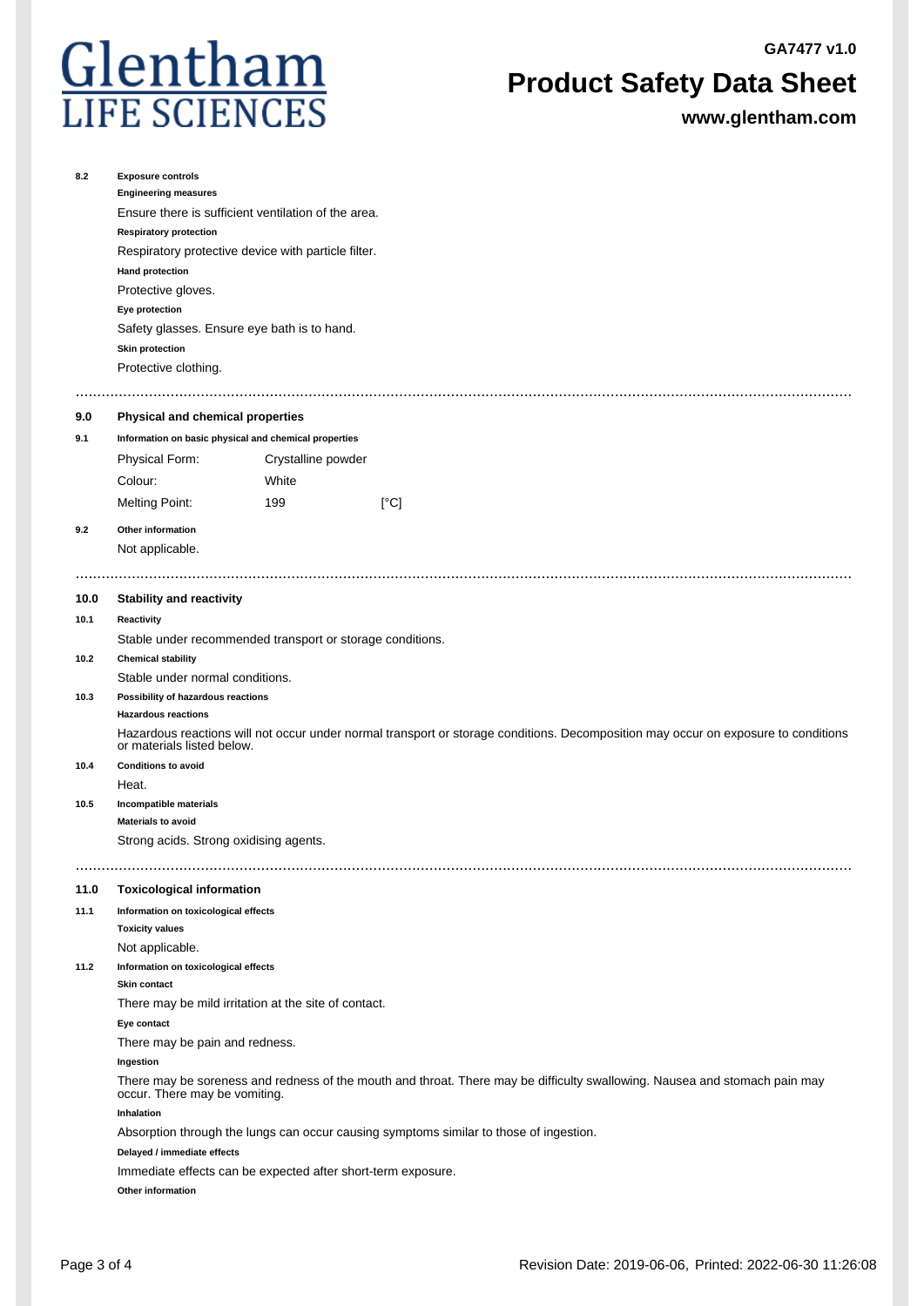**GA7477 v1.0**



# **Product Safety Data Sheet**

**www.glentham.com**

| 8.2  | <b>Exposure controls</b><br><b>Engineering measures</b><br>Ensure there is sufficient ventilation of the area.<br><b>Respiratory protection</b><br>Respiratory protective device with particle filter.<br><b>Hand protection</b><br>Protective gloves.<br>Eye protection<br>Safety glasses. Ensure eye bath is to hand.<br><b>Skin protection</b><br>Protective clothing. |                    |                                                                                                                                    |  |  |  |  |
|------|---------------------------------------------------------------------------------------------------------------------------------------------------------------------------------------------------------------------------------------------------------------------------------------------------------------------------------------------------------------------------|--------------------|------------------------------------------------------------------------------------------------------------------------------------|--|--|--|--|
| 9.0  | Physical and chemical properties                                                                                                                                                                                                                                                                                                                                          |                    |                                                                                                                                    |  |  |  |  |
| 9.1  | Information on basic physical and chemical properties                                                                                                                                                                                                                                                                                                                     |                    |                                                                                                                                    |  |  |  |  |
|      | Physical Form:                                                                                                                                                                                                                                                                                                                                                            | Crystalline powder |                                                                                                                                    |  |  |  |  |
|      | Colour:                                                                                                                                                                                                                                                                                                                                                                   | White              |                                                                                                                                    |  |  |  |  |
|      |                                                                                                                                                                                                                                                                                                                                                                           |                    |                                                                                                                                    |  |  |  |  |
|      | <b>Melting Point:</b>                                                                                                                                                                                                                                                                                                                                                     | 199                | [°C]                                                                                                                               |  |  |  |  |
| 9.2  | Other information                                                                                                                                                                                                                                                                                                                                                         |                    |                                                                                                                                    |  |  |  |  |
|      | Not applicable.                                                                                                                                                                                                                                                                                                                                                           |                    |                                                                                                                                    |  |  |  |  |
| 10.0 | <b>Stability and reactivity</b>                                                                                                                                                                                                                                                                                                                                           |                    |                                                                                                                                    |  |  |  |  |
| 10.1 | Reactivity                                                                                                                                                                                                                                                                                                                                                                |                    |                                                                                                                                    |  |  |  |  |
|      | Stable under recommended transport or storage conditions.                                                                                                                                                                                                                                                                                                                 |                    |                                                                                                                                    |  |  |  |  |
| 10.2 | <b>Chemical stability</b>                                                                                                                                                                                                                                                                                                                                                 |                    |                                                                                                                                    |  |  |  |  |
|      | Stable under normal conditions.                                                                                                                                                                                                                                                                                                                                           |                    |                                                                                                                                    |  |  |  |  |
| 10.3 | Possibility of hazardous reactions                                                                                                                                                                                                                                                                                                                                        |                    |                                                                                                                                    |  |  |  |  |
|      | <b>Hazardous reactions</b>                                                                                                                                                                                                                                                                                                                                                |                    |                                                                                                                                    |  |  |  |  |
|      | or materials listed below.                                                                                                                                                                                                                                                                                                                                                |                    | Hazardous reactions will not occur under normal transport or storage conditions. Decomposition may occur on exposure to conditions |  |  |  |  |
| 10.4 | <b>Conditions to avoid</b>                                                                                                                                                                                                                                                                                                                                                |                    |                                                                                                                                    |  |  |  |  |
|      | Heat.                                                                                                                                                                                                                                                                                                                                                                     |                    |                                                                                                                                    |  |  |  |  |
| 10.5 | Incompatible materials                                                                                                                                                                                                                                                                                                                                                    |                    |                                                                                                                                    |  |  |  |  |
|      | <b>Materials to avoid</b>                                                                                                                                                                                                                                                                                                                                                 |                    |                                                                                                                                    |  |  |  |  |
|      | Strong acids. Strong oxidising agents.                                                                                                                                                                                                                                                                                                                                    |                    |                                                                                                                                    |  |  |  |  |
|      |                                                                                                                                                                                                                                                                                                                                                                           |                    |                                                                                                                                    |  |  |  |  |
| 11.0 | <b>Toxicological information</b>                                                                                                                                                                                                                                                                                                                                          |                    |                                                                                                                                    |  |  |  |  |
| 11.1 | Information on toxicological effects                                                                                                                                                                                                                                                                                                                                      |                    |                                                                                                                                    |  |  |  |  |
|      | <b>Toxicity values</b>                                                                                                                                                                                                                                                                                                                                                    |                    |                                                                                                                                    |  |  |  |  |
|      | Not applicable.                                                                                                                                                                                                                                                                                                                                                           |                    |                                                                                                                                    |  |  |  |  |
| 11.2 | Information on toxicological effects<br><b>Skin contact</b>                                                                                                                                                                                                                                                                                                               |                    |                                                                                                                                    |  |  |  |  |
|      | There may be mild irritation at the site of contact.                                                                                                                                                                                                                                                                                                                      |                    |                                                                                                                                    |  |  |  |  |
|      | Eye contact                                                                                                                                                                                                                                                                                                                                                               |                    |                                                                                                                                    |  |  |  |  |
|      | There may be pain and redness.                                                                                                                                                                                                                                                                                                                                            |                    |                                                                                                                                    |  |  |  |  |
|      | Ingestion                                                                                                                                                                                                                                                                                                                                                                 |                    |                                                                                                                                    |  |  |  |  |
|      | occur. There may be vomiting.                                                                                                                                                                                                                                                                                                                                             |                    | There may be soreness and redness of the mouth and throat. There may be difficulty swallowing. Nausea and stomach pain may         |  |  |  |  |
|      | Inhalation                                                                                                                                                                                                                                                                                                                                                                |                    |                                                                                                                                    |  |  |  |  |
|      |                                                                                                                                                                                                                                                                                                                                                                           |                    | Absorption through the lungs can occur causing symptoms similar to those of ingestion.                                             |  |  |  |  |
|      | Delayed / immediate effects                                                                                                                                                                                                                                                                                                                                               |                    |                                                                                                                                    |  |  |  |  |
|      | Immediate effects can be expected after short-term exposure.                                                                                                                                                                                                                                                                                                              |                    |                                                                                                                                    |  |  |  |  |
|      | Other information                                                                                                                                                                                                                                                                                                                                                         |                    |                                                                                                                                    |  |  |  |  |
|      |                                                                                                                                                                                                                                                                                                                                                                           |                    |                                                                                                                                    |  |  |  |  |